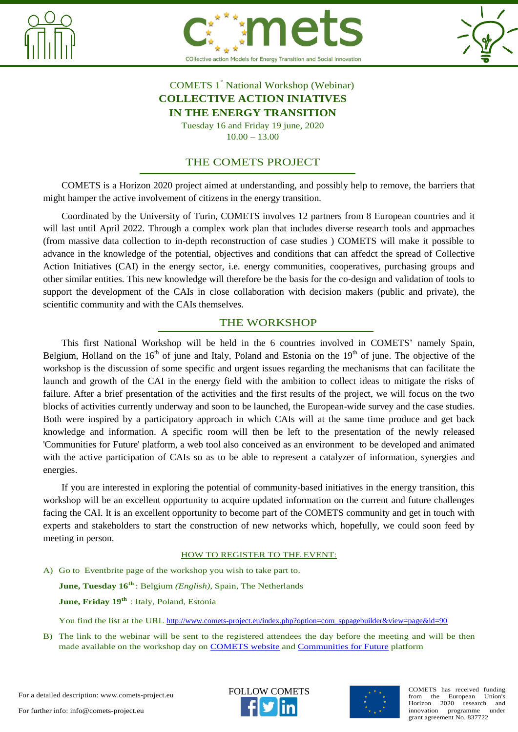





## COMETS 1° National Workshop (Webinar) **COLLECTIVE ACTION INIATIVES IN THE ENERGY TRANSITION**

Tuesday 16 and Friday 19 june, 2020 10.00 – 13.00

### THE COMETS PROJECT

COMETS is a Horizon 2020 project aimed at understanding, and possibly help to remove, the barriers that might hamper the active involvement of citizens in the energy transition.

Coordinated by the University of Turin, COMETS involves 12 partners from 8 European countries and it will last until April 2022. Through a complex work plan that includes diverse research tools and approaches (from massive data collection to in-depth reconstruction of case studies ) COMETS will make it possible to advance in the knowledge of the potential, objectives and conditions that can affedct the spread of Collective Action Initiatives (CAI) in the energy sector, i.e. energy communities, cooperatives, purchasing groups and other similar entities. This new knowledge will therefore be the basis for the co-design and validation of tools to support the development of the CAIs in close collaboration with decision makers (public and private), the scientific community and with the CAIs themselves.

### THE WORKSHOP

This first National Workshop will be held in the 6 countries involved in COMETS' namely Spain, Belgium, Holland on the  $16<sup>th</sup>$  of june and Italy, Poland and Estonia on the  $19<sup>th</sup>$  of june. The objective of the workshop is the discussion of some specific and urgent issues regarding the mechanisms that can facilitate the launch and growth of the CAI in the energy field with the ambition to collect ideas to mitigate the risks of failure. After a brief presentation of the activities and the first results of the project, we will focus on the two blocks of activities currently underway and soon to be launched, the European-wide survey and the case studies. Both were inspired by a participatory approach in which CAIs will at the same time produce and get back knowledge and information. A specific room will then be left to the presentation of the newly released 'Communities for Future' platform, a web tool also conceived as an environment to be developed and animated with the active participation of CAIs so as to be able to represent a catalyzer of information, synergies and energies.

If you are interested in exploring the potential of community-based initiatives in the energy transition, this workshop will be an excellent opportunity to acquire updated information on the current and future challenges facing the CAI. It is an excellent opportunity to become part of the COMETS community and get in touch with experts and stakeholders to start the construction of new networks which, hopefully, we could soon feed by meeting in person.

#### HOW TO REGISTER TO THE EVENT:

A) Go to Eventbrite page of the workshop you wish to take part to.

**June, Tuesday 16th** [: Belgium](https://www.eventbrite.it/e/107110470300) *(English)*, [Spain,](https://www.eventbrite.it/e/107084612960) [The Netherlands](https://www.eventbrite.it/e/107111730068)

**June, Friday 19th** [: Italy,](https://www.eventbrite.it/e/106931603304) [Poland,](https://www.eventbrite.it/e/107426341078) [Estonia](https://www.eventbrite.it/e/107105880572)

You find the list at the URL [http://www.comets-project.eu/index.php?option=com\\_sppagebuilder&view=page&id=90](http://www.comets-project.eu/index.php?option=com_sppagebuilder&view=page&id=90)

B) The link to the webinar will be sent to the registered attendees the day before the meeting and will be then made available on the workshop day on [COMETS website](http://www.comets-project.eu/) and [Communities for Future](https://knowledgebase.communitiesforfuture.org/) platform

For a detailed description: www.comets-project.eu



FOLLOW COMETS **COMETS** COMETS has received funding from the European Union's Horizon 2020 research and<br>innovation programme under innovation programme grant agreement No. 837722